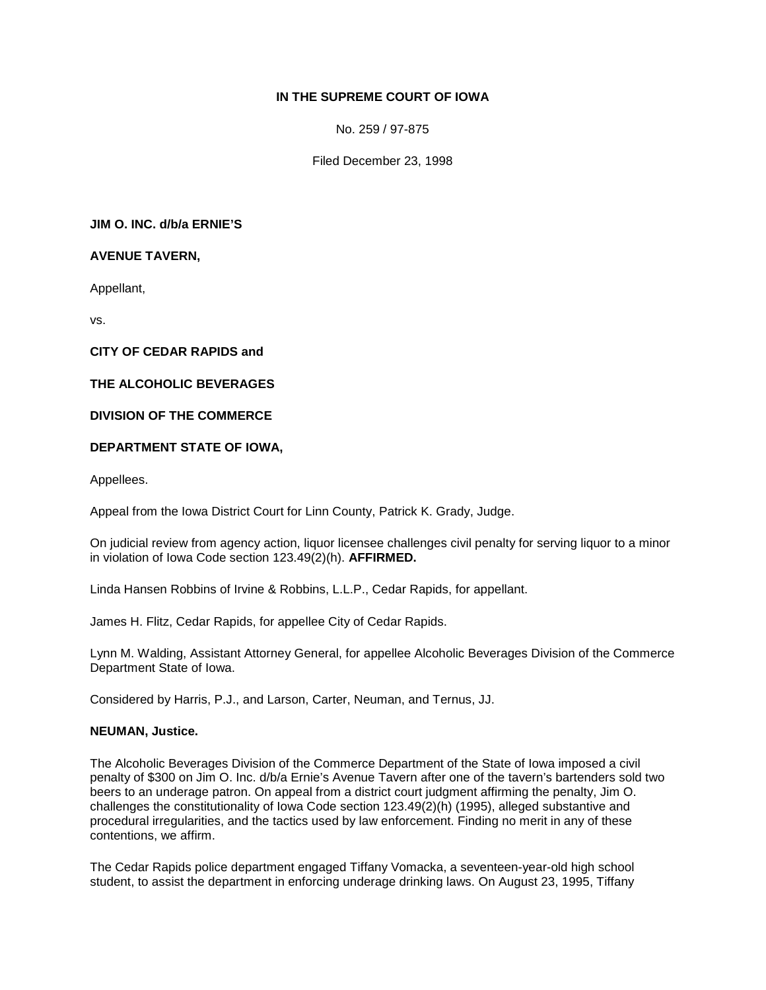# **IN THE SUPREME COURT OF IOWA**

No. 259 / 97-875

Filed December 23, 1998

**JIM O. INC. d/b/a ERNIE'S**

**AVENUE TAVERN,**

Appellant,

vs.

**CITY OF CEDAR RAPIDS and**

**THE ALCOHOLIC BEVERAGES**

**DIVISION OF THE COMMERCE**

## **DEPARTMENT STATE OF IOWA,**

Appellees.

Appeal from the Iowa District Court for Linn County, Patrick K. Grady, Judge.

On judicial review from agency action, liquor licensee challenges civil penalty for serving liquor to a minor in violation of Iowa Code section 123.49(2)(h). **AFFIRMED.**

Linda Hansen Robbins of Irvine & Robbins, L.L.P., Cedar Rapids, for appellant.

James H. Flitz, Cedar Rapids, for appellee City of Cedar Rapids.

Lynn M. Walding, Assistant Attorney General, for appellee Alcoholic Beverages Division of the Commerce Department State of Iowa.

Considered by Harris, P.J., and Larson, Carter, Neuman, and Ternus, JJ.

### **NEUMAN, Justice.**

The Alcoholic Beverages Division of the Commerce Department of the State of Iowa imposed a civil penalty of \$300 on Jim O. Inc. d/b/a Ernie's Avenue Tavern after one of the tavern's bartenders sold two beers to an underage patron. On appeal from a district court judgment affirming the penalty, Jim O. challenges the constitutionality of Iowa Code section 123.49(2)(h) (1995), alleged substantive and procedural irregularities, and the tactics used by law enforcement. Finding no merit in any of these contentions, we affirm.

The Cedar Rapids police department engaged Tiffany Vomacka, a seventeen-year-old high school student, to assist the department in enforcing underage drinking laws. On August 23, 1995, Tiffany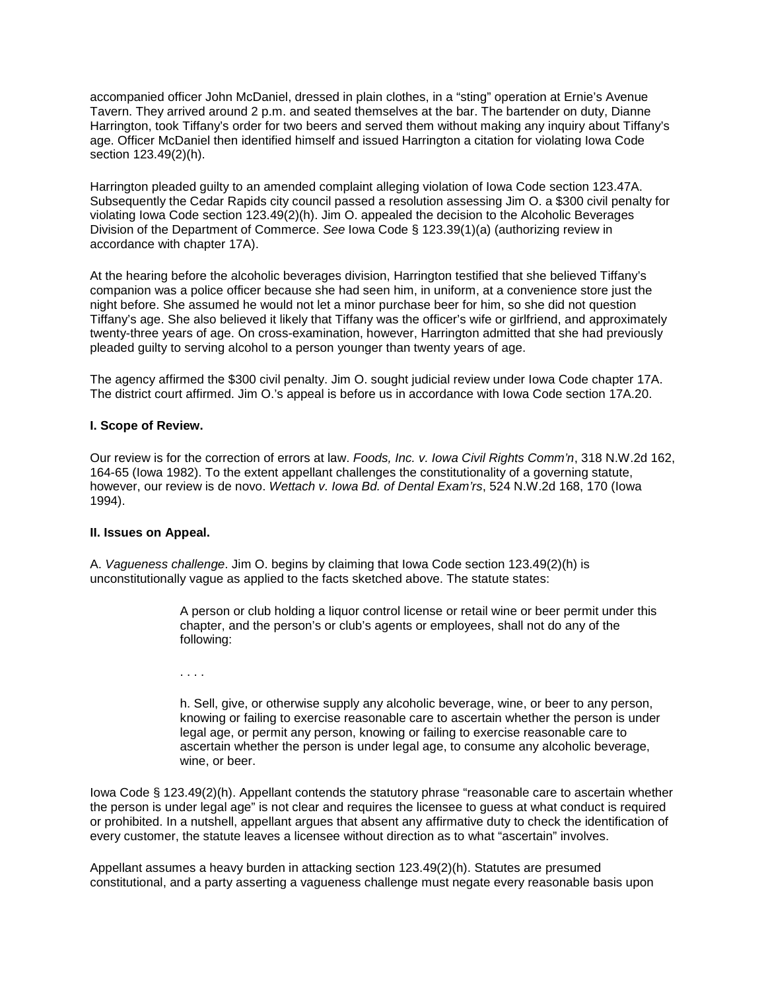accompanied officer John McDaniel, dressed in plain clothes, in a "sting" operation at Ernie's Avenue Tavern. They arrived around 2 p.m. and seated themselves at the bar. The bartender on duty, Dianne Harrington, took Tiffany's order for two beers and served them without making any inquiry about Tiffany's age. Officer McDaniel then identified himself and issued Harrington a citation for violating Iowa Code section 123.49(2)(h).

Harrington pleaded guilty to an amended complaint alleging violation of Iowa Code section 123.47A. Subsequently the Cedar Rapids city council passed a resolution assessing Jim O. a \$300 civil penalty for violating Iowa Code section 123.49(2)(h). Jim O. appealed the decision to the Alcoholic Beverages Division of the Department of Commerce. *See* Iowa Code § 123.39(1)(a) (authorizing review in accordance with chapter 17A).

At the hearing before the alcoholic beverages division, Harrington testified that she believed Tiffany's companion was a police officer because she had seen him, in uniform, at a convenience store just the night before. She assumed he would not let a minor purchase beer for him, so she did not question Tiffany's age. She also believed it likely that Tiffany was the officer's wife or girlfriend, and approximately twenty-three years of age. On cross-examination, however, Harrington admitted that she had previously pleaded guilty to serving alcohol to a person younger than twenty years of age.

The agency affirmed the \$300 civil penalty. Jim O. sought judicial review under Iowa Code chapter 17A. The district court affirmed. Jim O.'s appeal is before us in accordance with Iowa Code section 17A.20.

### **I. Scope of Review.**

Our review is for the correction of errors at law. *Foods, Inc. v. Iowa Civil Rights Comm'n*, 318 N.W.2d 162, 164-65 (Iowa 1982). To the extent appellant challenges the constitutionality of a governing statute, however, our review is de novo. *Wettach v. Iowa Bd. of Dental Exam'rs*, 524 N.W.2d 168, 170 (Iowa 1994).

### **II. Issues on Appeal.**

A. *Vagueness challenge*. Jim O. begins by claiming that Iowa Code section 123.49(2)(h) is unconstitutionally vague as applied to the facts sketched above. The statute states:

> A person or club holding a liquor control license or retail wine or beer permit under this chapter, and the person's or club's agents or employees, shall not do any of the following:

. . . .

h. Sell, give, or otherwise supply any alcoholic beverage, wine, or beer to any person, knowing or failing to exercise reasonable care to ascertain whether the person is under legal age, or permit any person, knowing or failing to exercise reasonable care to ascertain whether the person is under legal age, to consume any alcoholic beverage, wine, or beer.

Iowa Code § 123.49(2)(h). Appellant contends the statutory phrase "reasonable care to ascertain whether the person is under legal age" is not clear and requires the licensee to guess at what conduct is required or prohibited. In a nutshell, appellant argues that absent any affirmative duty to check the identification of every customer, the statute leaves a licensee without direction as to what "ascertain" involves.

Appellant assumes a heavy burden in attacking section 123.49(2)(h). Statutes are presumed constitutional, and a party asserting a vagueness challenge must negate every reasonable basis upon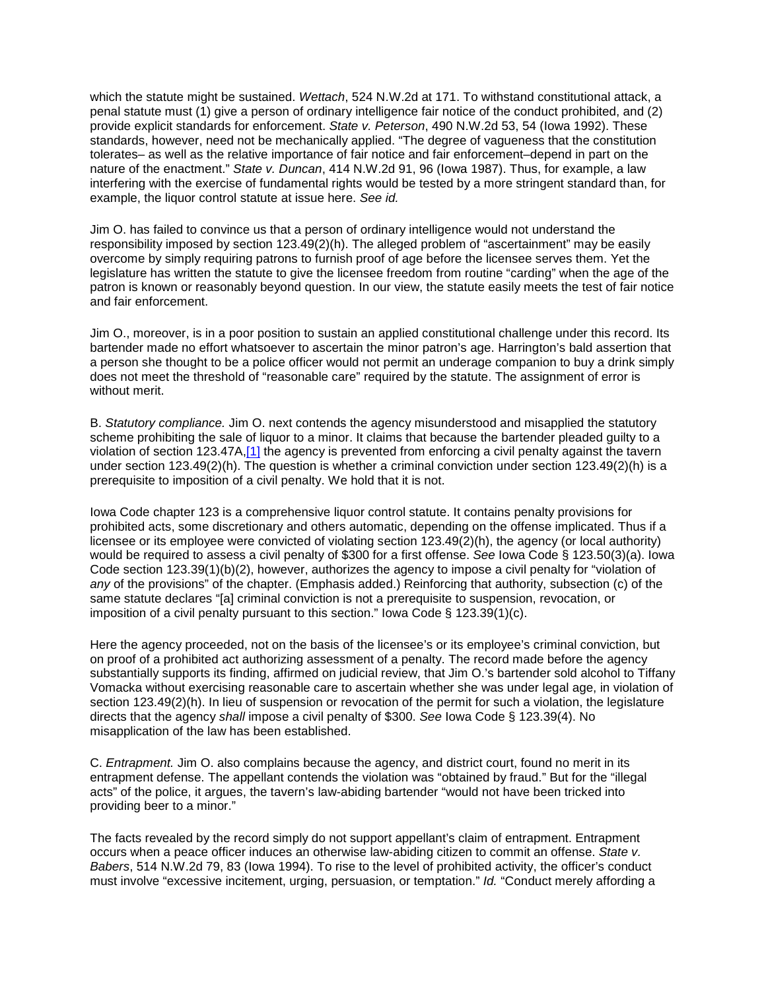which the statute might be sustained. *Wettach*, 524 N.W.2d at 171. To withstand constitutional attack, a penal statute must (1) give a person of ordinary intelligence fair notice of the conduct prohibited, and (2) provide explicit standards for enforcement. *State v. Peterson*, 490 N.W.2d 53, 54 (Iowa 1992). These standards, however, need not be mechanically applied. "The degree of vagueness that the constitution tolerates– as well as the relative importance of fair notice and fair enforcement–depend in part on the nature of the enactment." *State v. Duncan*, 414 N.W.2d 91, 96 (Iowa 1987). Thus, for example, a law interfering with the exercise of fundamental rights would be tested by a more stringent standard than, for example, the liquor control statute at issue here. *See id.*

Jim O. has failed to convince us that a person of ordinary intelligence would not understand the responsibility imposed by section 123.49(2)(h). The alleged problem of "ascertainment" may be easily overcome by simply requiring patrons to furnish proof of age before the licensee serves them. Yet the legislature has written the statute to give the licensee freedom from routine "carding" when the age of the patron is known or reasonably beyond question. In our view, the statute easily meets the test of fair notice and fair enforcement.

Jim O., moreover, is in a poor position to sustain an applied constitutional challenge under this record. Its bartender made no effort whatsoever to ascertain the minor patron's age. Harrington's bald assertion that a person she thought to be a police officer would not permit an underage companion to buy a drink simply does not meet the threshold of "reasonable care" required by the statute. The assignment of error is without merit.

B. *Statutory compliance.* Jim O. next contends the agency misunderstood and misapplied the statutory scheme prohibiting the sale of liquor to a minor. It claims that because the bartender pleaded guilty to a violation of section 123.47A[,\[1\]](http://www.iowacourts.gov/About_the_Courts/Supreme_Court/Supreme_Court_Opinions/Recent_Opinions/19981223/97-0875.asp?Printable=true#fn1) the agency is prevented from enforcing a civil penalty against the tavern under section 123.49(2)(h). The question is whether a criminal conviction under section 123.49(2)(h) is a prerequisite to imposition of a civil penalty. We hold that it is not.

Iowa Code chapter 123 is a comprehensive liquor control statute. It contains penalty provisions for prohibited acts, some discretionary and others automatic, depending on the offense implicated. Thus if a licensee or its employee were convicted of violating section 123.49(2)(h), the agency (or local authority) would be required to assess a civil penalty of \$300 for a first offense. *See* Iowa Code § 123.50(3)(a). Iowa Code section 123.39(1)(b)(2), however, authorizes the agency to impose a civil penalty for "violation of *any* of the provisions" of the chapter. (Emphasis added.) Reinforcing that authority, subsection (c) of the same statute declares "[a] criminal conviction is not a prerequisite to suspension, revocation, or imposition of a civil penalty pursuant to this section." Iowa Code § 123.39(1)(c).

Here the agency proceeded, not on the basis of the licensee's or its employee's criminal conviction, but on proof of a prohibited act authorizing assessment of a penalty. The record made before the agency substantially supports its finding, affirmed on judicial review, that Jim O.'s bartender sold alcohol to Tiffany Vomacka without exercising reasonable care to ascertain whether she was under legal age, in violation of section 123.49(2)(h). In lieu of suspension or revocation of the permit for such a violation, the legislature directs that the agency *shall* impose a civil penalty of \$300. *See* Iowa Code § 123.39(4). No misapplication of the law has been established.

C. *Entrapment.* Jim O. also complains because the agency, and district court, found no merit in its entrapment defense. The appellant contends the violation was "obtained by fraud." But for the "illegal acts" of the police, it argues, the tavern's law-abiding bartender "would not have been tricked into providing beer to a minor."

The facts revealed by the record simply do not support appellant's claim of entrapment. Entrapment occurs when a peace officer induces an otherwise law-abiding citizen to commit an offense. *State v. Babers*, 514 N.W.2d 79, 83 (Iowa 1994). To rise to the level of prohibited activity, the officer's conduct must involve "excessive incitement, urging, persuasion, or temptation." *Id.* "Conduct merely affording a